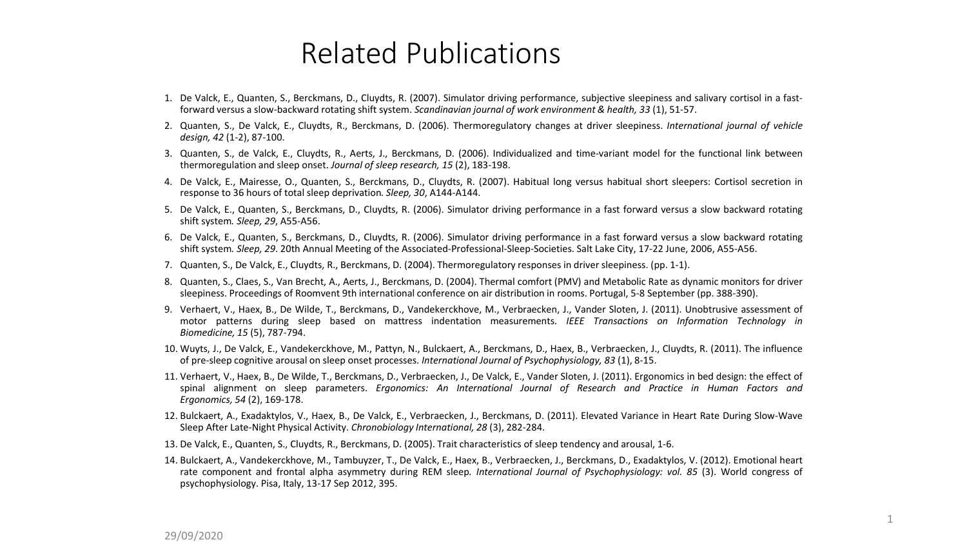## Related Publications

- 1. De Valck, E., Quanten, S., Berckmans, D., Cluydts, R. (2007). Simulator driving performance, subjective sleepiness and salivary cortisol in a fastforward versus a slow-backward rotating shift system. *Scandinavian journal of work environment & health, 33* (1), 51-57.
- 2. Quanten, S., De Valck, E., Cluydts, R., Berckmans, D. (2006). Thermoregulatory changes at driver sleepiness. *International journal of vehicle design, 42* (1-2), 87-100.
- 3. Quanten, S., de Valck, E., Cluydts, R., Aerts, J., Berckmans, D. (2006). Individualized and time-variant model for the functional link between thermoregulation and sleep onset. *Journal of sleep research, 15* (2), 183-198.
- 4. De Valck, E., Mairesse, O., Quanten, S., Berckmans, D., Cluydts, R. (2007). Habitual long versus habitual short sleepers: Cortisol secretion in response to 36 hours of total sleep deprivation*. Sleep, 30*, A144-A144.
- 5. De Valck, E., Quanten, S., Berckmans, D., Cluydts, R. (2006). Simulator driving performance in a fast forward versus a slow backward rotating shift system*. Sleep, 29*, A55-A56.
- 6. De Valck, E., Quanten, S., Berckmans, D., Cluydts, R. (2006). Simulator driving performance in a fast forward versus a slow backward rotating shift system*. Sleep, 29*. 20th Annual Meeting of the Associated-Professional-Sleep-Societies. Salt Lake City, 17-22 June, 2006, A55-A56.
- 7. Quanten, S., De Valck, E., Cluydts, R., Berckmans, D. (2004). Thermoregulatory responses in driver sleepiness. (pp. 1-1).
- 8. Quanten, S., Claes, S., Van Brecht, A., Aerts, J., Berckmans, D. (2004). Thermal comfort (PMV) and Metabolic Rate as dynamic monitors for driver sleepiness. Proceedings of Roomvent 9th international conference on air distribution in rooms. Portugal, 5-8 September (pp. 388-390).
- 9. Verhaert, V., Haex, B., De Wilde, T., Berckmans, D., Vandekerckhove, M., Verbraecken, J., Vander Sloten, J. (2011). Unobtrusive assessment of motor patterns during sleep based on mattress indentation measurements. *IEEE Transactions on Information Technology in Biomedicine, 15* (5), 787-794.
- 10. Wuyts, J., De Valck, E., Vandekerckhove, M., Pattyn, N., Bulckaert, A., Berckmans, D., Haex, B., Verbraecken, J., Cluydts, R. (2011). The influence of pre-sleep cognitive arousal on sleep onset processes. *International Journal of Psychophysiology, 83* (1), 8-15.
- 11. Verhaert, V., Haex, B., De Wilde, T., Berckmans, D., Verbraecken, J., De Valck, E., Vander Sloten, J. (2011). Ergonomics in bed design: the effect of spinal alignment on sleep parameters. *Ergonomics: An International Journal of Research and Practice in Human Factors and Ergonomics, 54* (2), 169-178.
- 12. Bulckaert, A., Exadaktylos, V., Haex, B., De Valck, E., Verbraecken, J., Berckmans, D. (2011). Elevated Variance in Heart Rate During Slow-Wave Sleep After Late-Night Physical Activity. *Chronobiology International, 28* (3), 282-284.
- 13. De Valck, E., Quanten, S., Cluydts, R., Berckmans, D. (2005). Trait characteristics of sleep tendency and arousal, 1-6.
- 14. Bulckaert, A., Vandekerckhove, M., Tambuyzer, T., De Valck, E., Haex, B., Verbraecken, J., Berckmans, D., Exadaktylos, V. (2012). Emotional heart rate component and frontal alpha asymmetry during REM sleep*. International Journal of Psychophysiology: vol. 85* (3). World congress of psychophysiology. Pisa, Italy, 13-17 Sep 2012, 395.

1